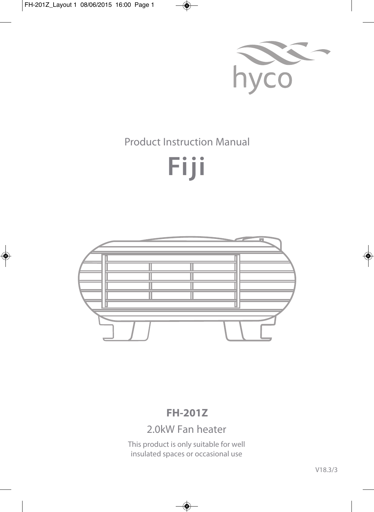

## Product Instruction Manual

# **Fiji**



## **FH-201Z**

## 2.0kW Fan heater

This product is only suitable for well insulated spaces or occasional use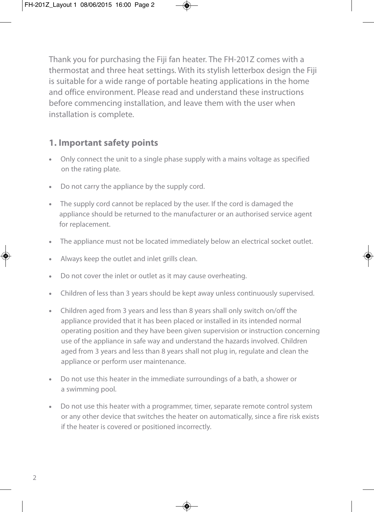Thank you for purchasing the Fiji fan heater. The FH-201Z comes with a thermostat and three heat settings. With its stylish letterbox design the Fiji is suitable for a wide range of portable heating applications in the home and office environment. Please read and understand these instructions before commencing installation, and leave them with the user when installation is complete.

#### **1. Important safety points**

- **•** Only connect the unit to a single phase supply with a mains voltage as specified on the rating plate.
- **•** Do not carry the appliance by the supply cord.
- **•** The supply cord cannot be replaced by the user. If the cord is damaged the appliance should be returned to the manufacturer or an authorised service agent for replacement.
- **•** The appliance must not be located immediately below an electrical socket outlet.
- **•** Always keep the outlet and inlet grills clean.
- **•** Do not cover the inlet or outlet as it may cause overheating.
- **•** Children of less than 3 years should be kept away unless continuously supervised.
- **•** Children aged from 3 years and less than 8 years shall only switch on/off the appliance provided that it has been placed or installed in its intended normal operating position and they have been given supervision or instruction concerning use of the appliance in safe way and understand the hazards involved. Children aged from 3 years and less than 8 years shall not plug in, regulate and clean the appliance or perform user maintenance.
- **•** Do not use this heater in the immediate surroundings of a bath, a shower or a swimming pool.
- **•** Do not use this heater with a programmer, timer, separate remote control system or any other device that switches the heater on automatically, since a fire risk exists if the heater is covered or positioned incorrectly.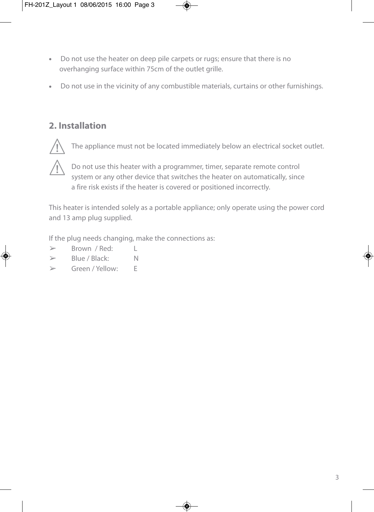- **•** Do not use the heater on deep pile carpets or rugs; ensure that there is no overhanging surface within 75cm of the outlet grille.
- **•** Do not use in the vicinity of any combustible materials, curtains or other furnishings.

#### **2. Installation**



The appliance must not be located immediately below an electrical socket outlet.



Do not use this heater with a programmer, timer, separate remote control system or any other device that switches the heater on automatically, since a fire risk exists if the heater is covered or positioned incorrectly.

This heater is intended solely as a portable appliance; only operate using the power cord and 13 amp plug supplied.

If the plug needs changing, make the connections as:

- $\triangleright$  Brown / Red:  $\vert$
- $\triangleright$  Blue / Black: N
- ➢ Green / Yellow: E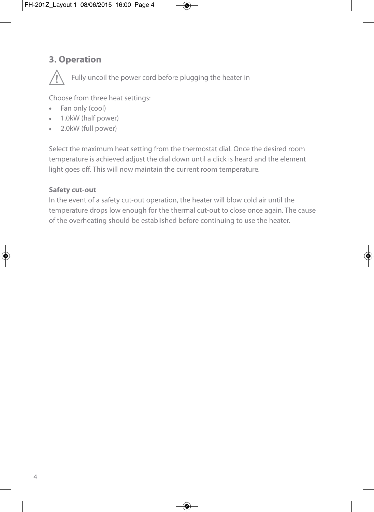### **3. Operation**



Fully uncoil the power cord before plugging the heater in

Choose from three heat settings:

- **•** Fan only (cool)
- **•** 1.0kW (half power)
- **•** 2.0kW (full power)

Select the maximum heat setting from the thermostat dial. Once the desired room temperature is achieved adjust the dial down until a click is heard and the element light goes off. This will now maintain the current room temperature.

#### **Safety cut-out**

In the event of a safety cut-out operation, the heater will blow cold air until the temperature drops low enough for the thermal cut-out to close once again. The cause of the overheating should be established before continuing to use the heater.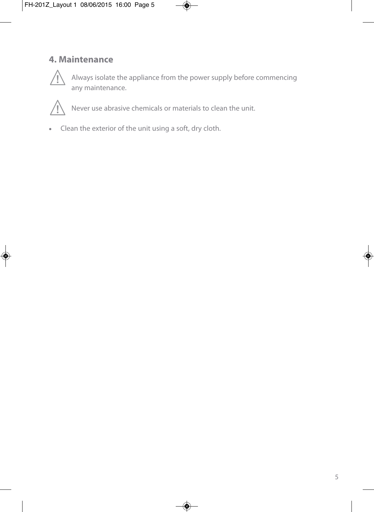### **4. Maintenance**



Always isolate the appliance from the power supply before commencing any maintenance.



Never use abrasive chemicals or materials to clean the unit.

**•** Clean the exterior of the unit using a soft, dry cloth.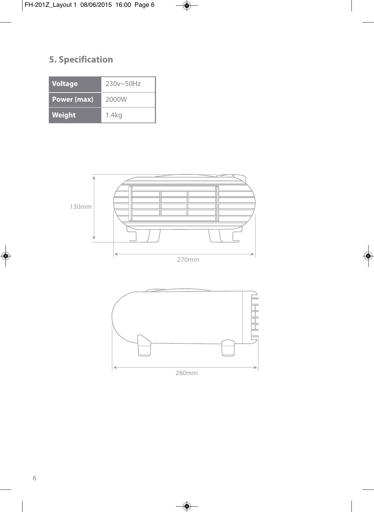## **5. Specification**

| <b>Voltage</b>     | $230v - 50Hz$     |
|--------------------|-------------------|
| <b>Power (max)</b> | 2000W             |
| Weight             | 1.4 <sub>kq</sub> |



280mm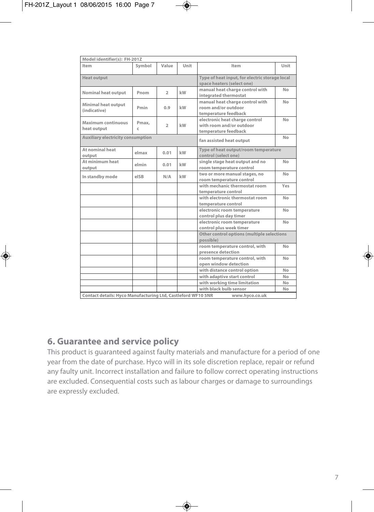| Model identifier(s): FH-201Z                                 |            |                |                                                                              |                                                                                    |      |
|--------------------------------------------------------------|------------|----------------|------------------------------------------------------------------------------|------------------------------------------------------------------------------------|------|
| Item                                                         | Symbol     | Value          | Unit                                                                         | Item                                                                               | Unit |
| <b>Heat output</b>                                           |            |                | Type of heat input, for electric storage local<br>space heaters (select one) |                                                                                    |      |
| <b>Nominal heat output</b>                                   | Pnom       | $\overline{2}$ | kW                                                                           | manual heat charge control with<br>integrated thermostat                           | No   |
| <b>Minimal heat output</b><br>(indicative)                   | Pmin       | 0.9            | kW                                                                           | manual heat charge control with<br>room and/or outdoor<br>temperature feedback     | No   |
| <b>Maximum continuous</b><br>heat output                     | Pmax,<br>c | $\overline{2}$ | kW                                                                           | electronic heat charge control<br>with room and/or outdoor<br>temperature feedback | No   |
| <b>Auxiliary electricity consumption</b>                     |            |                |                                                                              | fan assisted heat output                                                           | No   |
| At nominal heat<br>output                                    | elmax      | 0.01           | kW                                                                           | Type of heat output/room temperature<br>control (select one)                       |      |
| At minimum heat<br>output                                    | elmin      | 0.01           | kW                                                                           | single stage heat output and no<br>room temperature control                        | No   |
| In standby mode                                              | elSB       | N/A            | kW                                                                           | two or more manual stages, no<br>room temperature control                          | No   |
|                                                              |            |                |                                                                              | with mechanic thermostat room<br>temperature control                               | Yes  |
|                                                              |            |                |                                                                              | with electronic thermostat room<br>temperature control                             | No   |
|                                                              |            |                |                                                                              | electronic room temperature<br>control plus day timer                              | No   |
|                                                              |            |                |                                                                              | electronic room temperature<br>control plus week timer                             | No   |
|                                                              |            |                |                                                                              | Other control options (multiple selections<br>possible)                            |      |
|                                                              |            |                |                                                                              | room temperature control, with<br>presence detection                               | No   |
|                                                              |            |                |                                                                              | room temperature control, with<br>open window detection                            | No   |
|                                                              |            |                |                                                                              | with distance control option                                                       | No   |
|                                                              |            |                |                                                                              | with adaptive start control                                                        | No   |
|                                                              |            |                |                                                                              | with working time limitation                                                       | No   |
|                                                              |            |                |                                                                              | with black bulb sensor                                                             | No   |
| Contact details: Hyco Manufacturing Ltd, Castleford WF10 5NR |            |                |                                                                              | www.hvco.co.uk                                                                     |      |

#### **6. Guarantee and service policy**

This product is guaranteed against faulty materials and manufacture for a period of one year from the date of purchase. Hyco will in its sole discretion replace, repair or refund any faulty unit. Incorrect installation and failure to follow correct operating instructions are excluded. Consequential costs such as labour charges or damage to surroundings are expressly excluded.